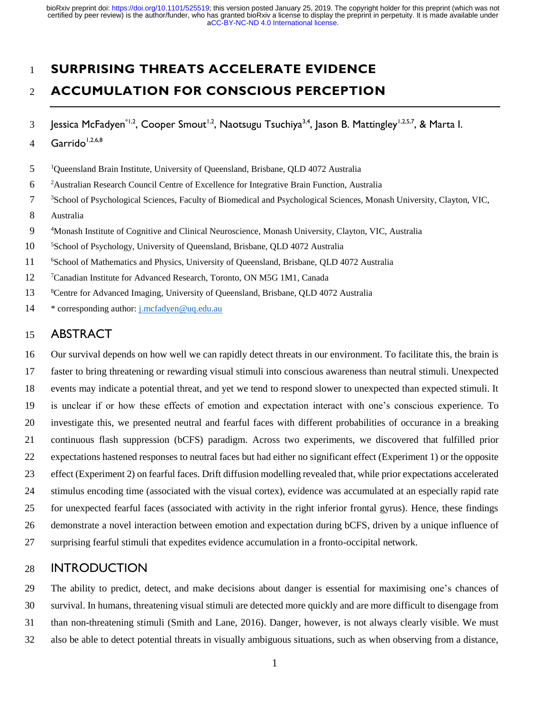# **SURPRISING THREATS ACCELERATE EVIDENCE**

# **ACCUMULATION FOR CONSCIOUS PERCEPTION**

- 3 Jessica McFadyen<sup>\*1,2</sup>, Cooper Smout<sup>1,2</sup>, Naotsugu Tsuchiya<sup>3,4</sup>, Jason B. Mattingley<sup>1,2,5,7</sup>, & Marta I.
- $Garrido<sup>1,2,6,8</sup>$
- <sup>1</sup>Queensland Brain Institute, University of Queensland, Brisbane, QLD 4072 Australia
- Australian Research Council Centre of Excellence for Integrative Brain Function, Australia
- <sup>3</sup> School of Psychological Sciences, Faculty of Biomedical and Psychological Sciences, Monash University, Clayton, VIC,
- Australia
- Monash Institute of Cognitive and Clinical Neuroscience, Monash University, Clayton, VIC, Australia
- <sup>5</sup> School of Psychology, University of Queensland, Brisbane, QLD 4072 Australia
- <sup>6</sup> 11 <sup>6</sup> School of Mathematics and Physics, University of Queensland, Brisbane, QLD 4072 Australia
- 12 <sup>7</sup> Canadian Institute for Advanced Research, Toronto, ON M5G 1M1, Canada
- 13 <sup>8</sup> SCentre for Advanced Imaging, University of Queensland, Brisbane, QLD 4072 Australia
- \* corresponding author[: j.mcfadyen@uq.edu.au](mailto:j.mcfadyen@uq.edu.au)

# ABSTRACT

 Our survival depends on how well we can rapidly detect threats in our environment. To facilitate this, the brain is faster to bring threatening or rewarding visual stimuli into conscious awareness than neutral stimuli. Unexpected events may indicate a potential threat, and yet we tend to respond slower to unexpected than expected stimuli. It is unclear if or how these effects of emotion and expectation interact with one's conscious experience. To investigate this, we presented neutral and fearful faces with different probabilities of occurance in a breaking continuous flash suppression (bCFS) paradigm. Across two experiments, we discovered that fulfilled prior expectations hastened responses to neutral faces but had either no significant effect (Experiment 1) or the opposite effect (Experiment 2) on fearful faces. Drift diffusion modelling revealed that, while prior expectations accelerated stimulus encoding time (associated with the visual cortex), evidence was accumulated at an especially rapid rate for unexpected fearful faces (associated with activity in the right inferior frontal gyrus). Hence, these findings demonstrate a novel interaction between emotion and expectation during bCFS, driven by a unique influence of surprising fearful stimuli that expedites evidence accumulation in a fronto-occipital network.

# INTRODUCTION

 The ability to predict, detect, and make decisions about danger is essential for maximising one's chances of survival. In humans, threatening visual stimuli are detected more quickly and are more difficult to disengage from than non-threatening stimuli (Smith and Lane, 2016). Danger, however, is not always clearly visible. We must also be able to detect potential threats in visually ambiguous situations, such as when observing from a distance,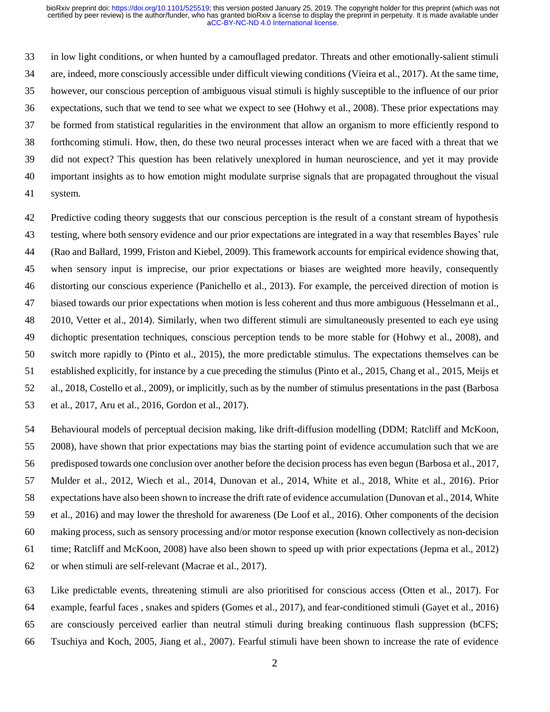in low light conditions, or when hunted by a camouflaged predator. Threats and other emotionally-salient stimuli are, indeed, more consciously accessible under difficult viewing conditions (Vieira et al., 2017). At the same time, however, our conscious perception of ambiguous visual stimuli is highly susceptible to the influence of our prior expectations, such that we tend to see what we expect to see (Hohwy et al., 2008). These prior expectations may be formed from statistical regularities in the environment that allow an organism to more efficiently respond to forthcoming stimuli. How, then, do these two neural processes interact when we are faced with a threat that we did not expect? This question has been relatively unexplored in human neuroscience, and yet it may provide important insights as to how emotion might modulate surprise signals that are propagated throughout the visual system.

 Predictive coding theory suggests that our conscious perception is the result of a constant stream of hypothesis testing, where both sensory evidence and our prior expectations are integrated in a way that resembles Bayes' rule (Rao and Ballard, 1999, Friston and Kiebel, 2009). This framework accounts for empirical evidence showing that, when sensory input is imprecise, our prior expectations or biases are weighted more heavily, consequently distorting our conscious experience (Panichello et al., 2013). For example, the perceived direction of motion is biased towards our prior expectations when motion is less coherent and thus more ambiguous (Hesselmann et al., 2010, Vetter et al., 2014). Similarly, when two different stimuli are simultaneously presented to each eye using dichoptic presentation techniques, conscious perception tends to be more stable for (Hohwy et al., 2008), and switch more rapidly to (Pinto et al., 2015), the more predictable stimulus. The expectations themselves can be established explicitly, for instance by a cue preceding the stimulus (Pinto et al., 2015, Chang et al., 2015, Meijs et al., 2018, Costello et al., 2009), or implicitly, such as by the number of stimulus presentations in the past (Barbosa et al., 2017, Aru et al., 2016, Gordon et al., 2017).

 Behavioural models of perceptual decision making, like drift-diffusion modelling (DDM; Ratcliff and McKoon, 2008), have shown that prior expectations may bias the starting point of evidence accumulation such that we are predisposed towards one conclusion over another before the decision process has even begun (Barbosa et al., 2017, Mulder et al., 2012, Wiech et al., 2014, Dunovan et al., 2014, White et al., 2018, White et al., 2016). Prior expectations have also been shown to increase the drift rate of evidence accumulation (Dunovan et al., 2014, White et al., 2016) and may lower the threshold for awareness (De Loof et al., 2016). Other components of the decision making process, such as sensory processing and/or motor response execution (known collectively as non-decision time; Ratcliff and McKoon, 2008) have also been shown to speed up with prior expectations (Jepma et al., 2012) or when stimuli are self-relevant (Macrae et al., 2017).

 Like predictable events, threatening stimuli are also prioritised for conscious access (Otten et al., 2017). For example, fearful faces , snakes and spiders (Gomes et al., 2017), and fear-conditioned stimuli (Gayet et al., 2016) are consciously perceived earlier than neutral stimuli during breaking continuous flash suppression (bCFS; Tsuchiya and Koch, 2005, Jiang et al., 2007). Fearful stimuli have been shown to increase the rate of evidence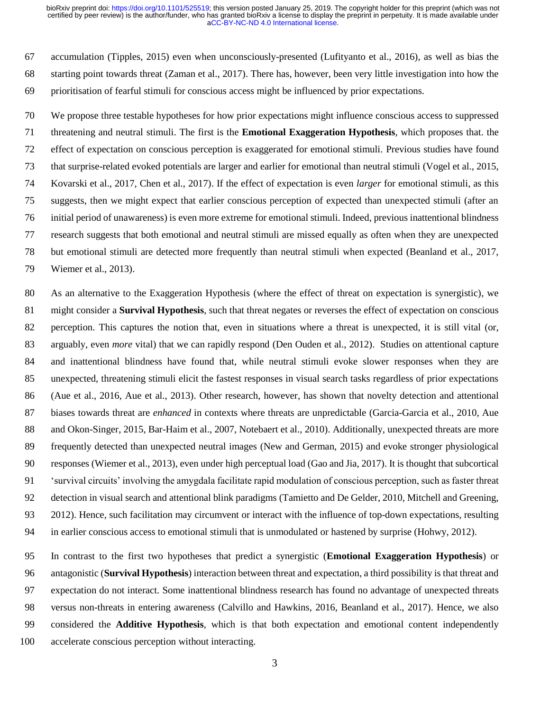accumulation (Tipples, 2015) even when unconsciously-presented (Lufityanto et al., 2016), as well as bias the starting point towards threat (Zaman et al., 2017). There has, however, been very little investigation into how the prioritisation of fearful stimuli for conscious access might be influenced by prior expectations.

 We propose three testable hypotheses for how prior expectations might influence conscious access to suppressed threatening and neutral stimuli. The first is the **Emotional Exaggeration Hypothesis**, which proposes that. the effect of expectation on conscious perception is exaggerated for emotional stimuli. Previous studies have found that surprise-related evoked potentials are larger and earlier for emotional than neutral stimuli (Vogel et al., 2015, Kovarski et al., 2017, Chen et al., 2017). If the effect of expectation is even *larger* for emotional stimuli, as this suggests, then we might expect that earlier conscious perception of expected than unexpected stimuli (after an initial period of unawareness) is even more extreme for emotional stimuli. Indeed, previous inattentional blindness research suggests that both emotional and neutral stimuli are missed equally as often when they are unexpected but emotional stimuli are detected more frequently than neutral stimuli when expected (Beanland et al., 2017, Wiemer et al., 2013).

 As an alternative to the Exaggeration Hypothesis (where the effect of threat on expectation is synergistic), we might consider a **Survival Hypothesis**, such that threat negates or reverses the effect of expectation on conscious perception. This captures the notion that, even in situations where a threat is unexpected, it is still vital (or, arguably, even *more* vital) that we can rapidly respond (Den Ouden et al., 2012). Studies on attentional capture and inattentional blindness have found that, while neutral stimuli evoke slower responses when they are unexpected, threatening stimuli elicit the fastest responses in visual search tasks regardless of prior expectations (Aue et al., 2016, Aue et al., 2013). Other research, however, has shown that novelty detection and attentional biases towards threat are *enhanced* in contexts where threats are unpredictable (Garcia-Garcia et al., 2010, Aue 88 and Okon-Singer, 2015, Bar-Haim et al., 2007, Notebaert et al., 2010). Additionally, unexpected threats are more frequently detected than unexpected neutral images (New and German, 2015) and evoke stronger physiological responses (Wiemer et al., 2013), even under high perceptual load (Gao and Jia, 2017). It is thought that subcortical 'survival circuits' involving the amygdala facilitate rapid modulation of conscious perception, such as faster threat detection in visual search and attentional blink paradigms (Tamietto and De Gelder, 2010, Mitchell and Greening, 2012). Hence, such facilitation may circumvent or interact with the influence of top-down expectations, resulting in earlier conscious access to emotional stimuli that is unmodulated or hastened by surprise (Hohwy, 2012).

 In contrast to the first two hypotheses that predict a synergistic (**Emotional Exaggeration Hypothesis**) or antagonistic (**Survival Hypothesis**) interaction between threat and expectation, a third possibility is that threat and expectation do not interact. Some inattentional blindness research has found no advantage of unexpected threats versus non-threats in entering awareness (Calvillo and Hawkins, 2016, Beanland et al., 2017). Hence, we also considered the **Additive Hypothesis**, which is that both expectation and emotional content independently accelerate conscious perception without interacting.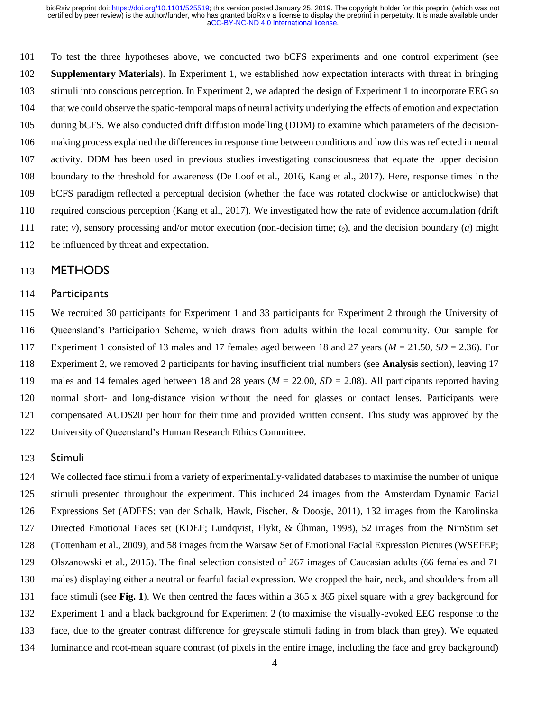To test the three hypotheses above, we conducted two bCFS experiments and one control experiment (see **Supplementary Materials**). In Experiment 1, we established how expectation interacts with threat in bringing stimuli into conscious perception. In Experiment 2, we adapted the design of Experiment 1 to incorporate EEG so that we could observe the spatio-temporal maps of neural activity underlying the effects of emotion and expectation during bCFS. We also conducted drift diffusion modelling (DDM) to examine which parameters of the decision- making process explained the differences in response time between conditions and how this was reflected in neural activity. DDM has been used in previous studies investigating consciousness that equate the upper decision boundary to the threshold for awareness (De Loof et al., 2016, Kang et al., 2017). Here, response times in the bCFS paradigm reflected a perceptual decision (whether the face was rotated clockwise or anticlockwise) that required conscious perception (Kang et al., 2017). We investigated how the rate of evidence accumulation (drift rate; *v*), sensory processing and/or motor execution (non-decision time; *t0*), and the decision boundary (*a*) might be influenced by threat and expectation.

## METHODS

#### Participants

 We recruited 30 participants for Experiment 1 and 33 participants for Experiment 2 through the University of Queensland's Participation Scheme, which draws from adults within the local community. Our sample for Experiment 1 consisted of 13 males and 17 females aged between 18 and 27 years (*M* = 21.50, *SD* = 2.36). For Experiment 2, we removed 2 participants for having insufficient trial numbers (see **Analysis** section), leaving 17 males and 14 females aged between 18 and 28 years (*M* = 22.00, *SD* = 2.08). All participants reported having normal short- and long-distance vision without the need for glasses or contact lenses. Participants were compensated AUD\$20 per hour for their time and provided written consent. This study was approved by the University of Queensland's Human Research Ethics Committee.

#### Stimuli

 We collected face stimuli from a variety of experimentally-validated databases to maximise the number of unique stimuli presented throughout the experiment. This included 24 images from the Amsterdam Dynamic Facial Expressions Set (ADFES; van der Schalk, Hawk, Fischer, & Doosje, 2011), 132 images from the Karolinska Directed Emotional Faces set (KDEF; Lundqvist, Flykt, & Öhman, 1998), 52 images from the NimStim set (Tottenham et al., 2009), and 58 images from the Warsaw Set of Emotional Facial Expression Pictures (WSEFEP; Olszanowski et al., 2015). The final selection consisted of 267 images of Caucasian adults (66 females and 71 males) displaying either a neutral or fearful facial expression. We cropped the hair, neck, and shoulders from all face stimuli (see **Fig. 1**). We then centred the faces within a 365 x 365 pixel square with a grey background for Experiment 1 and a black background for Experiment 2 (to maximise the visually-evoked EEG response to the face, due to the greater contrast difference for greyscale stimuli fading in from black than grey). We equated luminance and root-mean square contrast (of pixels in the entire image, including the face and grey background)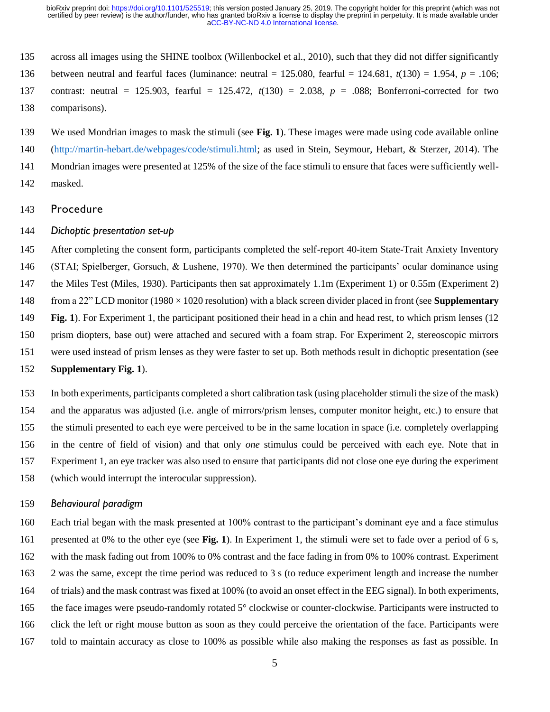- across all images using the SHINE toolbox (Willenbockel et al., 2010), such that they did not differ significantly
- between neutral and fearful faces (luminance: neutral = 125.080, fearful = 124.681, *t*(130) = 1.954, *p* = .106;
- contrast: neutral = 125.903, fearful = 125.472, *t*(130) = 2.038, *p* = .088; Bonferroni-corrected for two comparisons).

 We used Mondrian images to mask the stimuli (see **Fig. 1**). These images were made using code available online [\(http://martin-hebart.de/webpages/code/stimuli.html;](http://martin-hebart.de/webpages/code/stimuli.html) as used in Stein, Seymour, Hebart, & Sterzer, 2014). The

- Mondrian images were presented at 125% of the size of the face stimuli to ensure that faces were sufficiently well-masked.
- Procedure

#### *Dichoptic presentation set-up*

 After completing the consent form, participants completed the self-report 40-item State-Trait Anxiety Inventory (STAI; Spielberger, Gorsuch, & Lushene, 1970). We then determined the participants' ocular dominance using 147 the Miles Test (Miles, 1930). Participants then sat approximately 1.1m (Experiment 1) or 0.55m (Experiment 2) from a 22" LCD monitor (1980 × 1020 resolution) with a black screen divider placed in front (see **Supplementary Fig. 1**). For Experiment 1, the participant positioned their head in a chin and head rest, to which prism lenses (12 prism diopters, base out) were attached and secured with a foam strap. For Experiment 2, stereoscopic mirrors were used instead of prism lenses as they were faster to set up. Both methods result in dichoptic presentation (see

**Supplementary Fig. 1**).

 In both experiments, participants completed a short calibration task (using placeholder stimuli the size of the mask) and the apparatus was adjusted (i.e. angle of mirrors/prism lenses, computer monitor height, etc.) to ensure that the stimuli presented to each eye were perceived to be in the same location in space (i.e. completely overlapping in the centre of field of vision) and that only *one* stimulus could be perceived with each eye. Note that in Experiment 1, an eye tracker was also used to ensure that participants did not close one eye during the experiment (which would interrupt the interocular suppression).

#### *Behavioural paradigm*

 Each trial began with the mask presented at 100% contrast to the participant's dominant eye and a face stimulus presented at 0% to the other eye (see **Fig. 1**). In Experiment 1, the stimuli were set to fade over a period of 6 s, with the mask fading out from 100% to 0% contrast and the face fading in from 0% to 100% contrast. Experiment 2 was the same, except the time period was reduced to 3 s (to reduce experiment length and increase the number of trials) and the mask contrast was fixed at 100% (to avoid an onset effect in the EEG signal). In both experiments, 165 the face images were pseudo-randomly rotated 5° clockwise or counter-clockwise. Participants were instructed to click the left or right mouse button as soon as they could perceive the orientation of the face. Participants were told to maintain accuracy as close to 100% as possible while also making the responses as fast as possible. In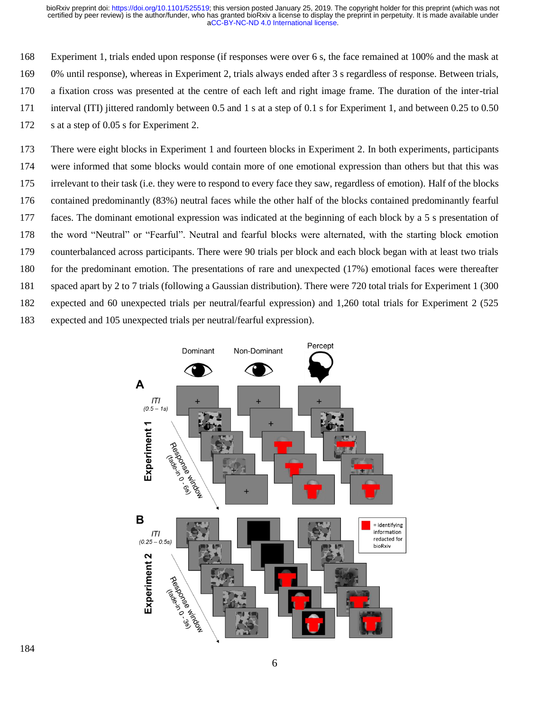Experiment 1, trials ended upon response (if responses were over 6 s, the face remained at 100% and the mask at 0% until response), whereas in Experiment 2, trials always ended after 3 s regardless of response. Between trials, a fixation cross was presented at the centre of each left and right image frame. The duration of the inter-trial interval (ITI) jittered randomly between 0.5 and 1 s at a step of 0.1 s for Experiment 1, and between 0.25 to 0.50 172 s at a step of 0.05 s for Experiment 2.

 There were eight blocks in Experiment 1 and fourteen blocks in Experiment 2. In both experiments, participants were informed that some blocks would contain more of one emotional expression than others but that this was irrelevant to their task (i.e. they were to respond to every face they saw, regardless of emotion). Half of the blocks contained predominantly (83%) neutral faces while the other half of the blocks contained predominantly fearful faces. The dominant emotional expression was indicated at the beginning of each block by a 5 s presentation of the word "Neutral" or "Fearful". Neutral and fearful blocks were alternated, with the starting block emotion counterbalanced across participants. There were 90 trials per block and each block began with at least two trials for the predominant emotion. The presentations of rare and unexpected (17%) emotional faces were thereafter spaced apart by 2 to 7 trials (following a Gaussian distribution). There were 720 total trials for Experiment 1 (300 expected and 60 unexpected trials per neutral/fearful expression) and 1,260 total trials for Experiment 2 (525 expected and 105 unexpected trials per neutral/fearful expression).

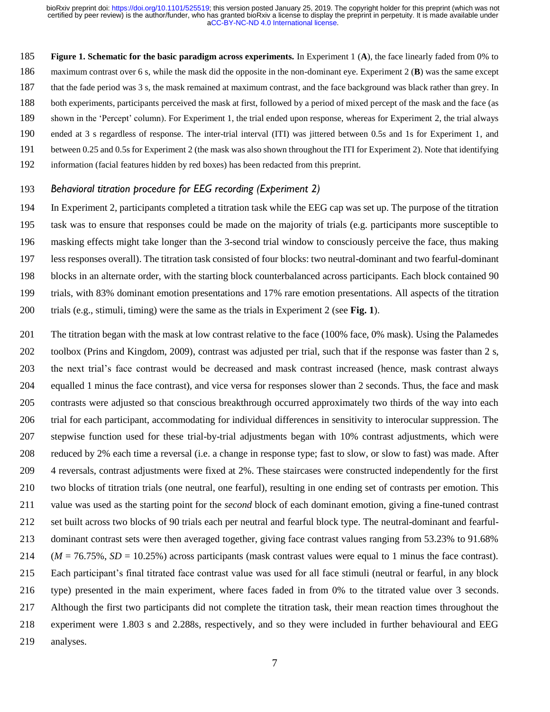**Figure 1. Schematic for the basic paradigm across experiments.** In Experiment 1 (**A**), the face linearly faded from 0% to maximum contrast over 6 s, while the mask did the opposite in the non-dominant eye. Experiment 2 (**B**) was the same except that the fade period was 3 s, the mask remained at maximum contrast, and the face background was black rather than grey. In both experiments, participants perceived the mask at first, followed by a period of mixed percept of the mask and the face (as shown in the 'Percept' column). For Experiment 1, the trial ended upon response, whereas for Experiment 2, the trial always ended at 3 s regardless of response. The inter-trial interval (ITI) was jittered between 0.5s and 1s for Experiment 1, and between 0.25 and 0.5s for Experiment 2 (the mask was also shown throughout the ITI for Experiment 2). Note that identifying information (facial features hidden by red boxes) has been redacted from this preprint.

### *Behavioral titration procedure for EEG recording (Experiment 2)*

 In Experiment 2, participants completed a titration task while the EEG cap was set up. The purpose of the titration task was to ensure that responses could be made on the majority of trials (e.g. participants more susceptible to masking effects might take longer than the 3-second trial window to consciously perceive the face, thus making less responses overall). The titration task consisted of four blocks: two neutral-dominant and two fearful-dominant blocks in an alternate order, with the starting block counterbalanced across participants. Each block contained 90 trials, with 83% dominant emotion presentations and 17% rare emotion presentations. All aspects of the titration trials (e.g., stimuli, timing) were the same as the trials in Experiment 2 (see **Fig. 1**).

 The titration began with the mask at low contrast relative to the face (100% face, 0% mask). Using the Palamedes toolbox (Prins and Kingdom, 2009), contrast was adjusted per trial, such that if the response was faster than 2 s, the next trial's face contrast would be decreased and mask contrast increased (hence, mask contrast always equalled 1 minus the face contrast), and vice versa for responses slower than 2 seconds. Thus, the face and mask contrasts were adjusted so that conscious breakthrough occurred approximately two thirds of the way into each trial for each participant, accommodating for individual differences in sensitivity to interocular suppression. The stepwise function used for these trial-by-trial adjustments began with 10% contrast adjustments, which were reduced by 2% each time a reversal (i.e. a change in response type; fast to slow, or slow to fast) was made. After 4 reversals, contrast adjustments were fixed at 2%. These staircases were constructed independently for the first two blocks of titration trials (one neutral, one fearful), resulting in one ending set of contrasts per emotion. This value was used as the starting point for the *second* block of each dominant emotion, giving a fine-tuned contrast set built across two blocks of 90 trials each per neutral and fearful block type. The neutral-dominant and fearful- dominant contrast sets were then averaged together, giving face contrast values ranging from 53.23% to 91.68% (*M* = 76.75%, *SD* = 10.25%) across participants (mask contrast values were equal to 1 minus the face contrast). Each participant's final titrated face contrast value was used for all face stimuli (neutral or fearful, in any block type) presented in the main experiment, where faces faded in from 0% to the titrated value over 3 seconds. Although the first two participants did not complete the titration task, their mean reaction times throughout the experiment were 1.803 s and 2.288s, respectively, and so they were included in further behavioural and EEG analyses.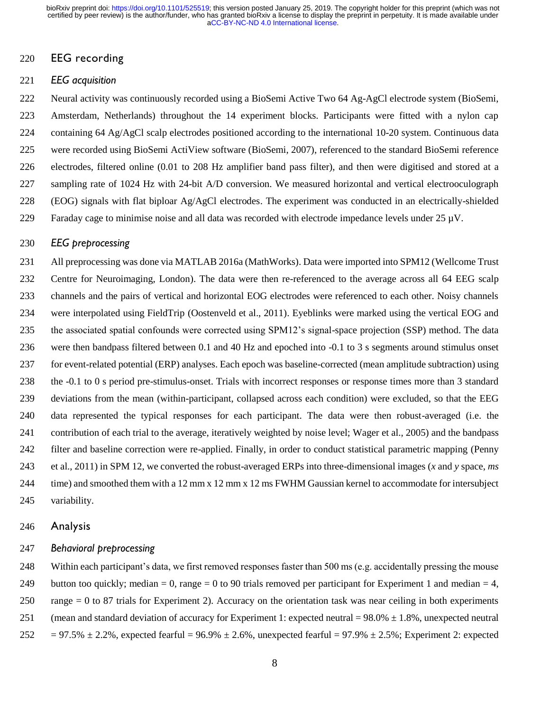## EEG recording

### *EEG acquisition*

 Neural activity was continuously recorded using a BioSemi Active Two 64 Ag-AgCl electrode system (BioSemi, Amsterdam, Netherlands) throughout the 14 experiment blocks. Participants were fitted with a nylon cap 224 containing 64 Ag/AgCl scalp electrodes positioned according to the international 10-20 system. Continuous data were recorded using BioSemi ActiView software (BioSemi, 2007), referenced to the standard BioSemi reference electrodes, filtered online (0.01 to 208 Hz amplifier band pass filter), and then were digitised and stored at a sampling rate of 1024 Hz with 24-bit A/D conversion. We measured horizontal and vertical electrooculograph 228 (EOG) signals with flat biploar  $Ag/AgCl$  electrodes. The experiment was conducted in an electrically-shielded 229 Faraday cage to minimise noise and all data was recorded with electrode impedance levels under  $25 \mu V$ .

#### *EEG preprocessing*

 All preprocessing was done via MATLAB 2016a (MathWorks). Data were imported into SPM12 (Wellcome Trust Centre for Neuroimaging, London). The data were then re-referenced to the average across all 64 EEG scalp channels and the pairs of vertical and horizontal EOG electrodes were referenced to each other. Noisy channels were interpolated using FieldTrip (Oostenveld et al., 2011). Eyeblinks were marked using the vertical EOG and the associated spatial confounds were corrected using SPM12's signal-space projection (SSP) method. The data were then bandpass filtered between 0.1 and 40 Hz and epoched into -0.1 to 3 s segments around stimulus onset for event-related potential (ERP) analyses. Each epoch was baseline-corrected (mean amplitude subtraction) using the -0.1 to 0 s period pre-stimulus-onset. Trials with incorrect responses or response times more than 3 standard deviations from the mean (within-participant, collapsed across each condition) were excluded, so that the EEG data represented the typical responses for each participant. The data were then robust-averaged (i.e. the contribution of each trial to the average, iteratively weighted by noise level; Wager et al., 2005) and the bandpass filter and baseline correction were re-applied. Finally, in order to conduct statistical parametric mapping (Penny et al., 2011) in SPM 12, we converted the robust-averaged ERPs into three-dimensional images (*x* and *y* space, *ms* 244 time) and smoothed them with a 12 mm x 12 mm x 12 ms FWHM Gaussian kernel to accommodate for intersubject variability.

#### Analysis

#### *Behavioral preprocessing*

248 Within each participant's data, we first removed responses faster than 500 ms (e.g. accidentally pressing the mouse 249 button too quickly; median = 0, range = 0 to 90 trials removed per participant for Experiment 1 and median = 4, 250 range  $= 0$  to 87 trials for Experiment 2). Accuracy on the orientation task was near ceiling in both experiments 251 (mean and standard deviation of accuracy for Experiment 1: expected neutral =  $98.0\% \pm 1.8\%$ , unexpected neutral 252 = 97.5%  $\pm$  2.2%, expected fearful = 96.9%  $\pm$  2.6%, unexpected fearful = 97.9%  $\pm$  2.5%; Experiment 2: expected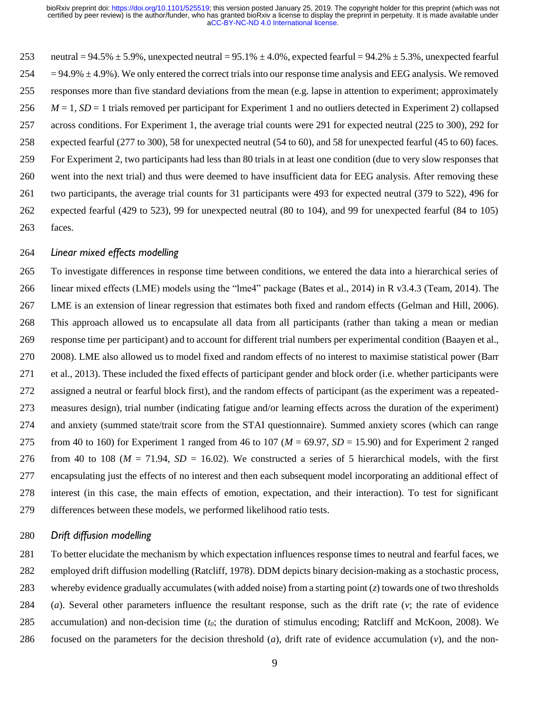253 neutral =  $94.5\% \pm 5.9\%$ , unexpected neutral =  $95.1\% \pm 4.0\%$ , expected fearful =  $94.2\% \pm 5.3\%$ , unexpected fearful  $254 = 94.9\% \pm 4.9\%$ ). We only entered the correct trials into our response time analysis and EEG analysis. We removed responses more than five standard deviations from the mean (e.g. lapse in attention to experiment; approximately *M* = 1, *SD* = 1 trials removed per participant for Experiment 1 and no outliers detected in Experiment 2) collapsed across conditions. For Experiment 1, the average trial counts were 291 for expected neutral (225 to 300), 292 for expected fearful (277 to 300), 58 for unexpected neutral (54 to 60), and 58 for unexpected fearful (45 to 60) faces. For Experiment 2, two participants had less than 80 trials in at least one condition (due to very slow responses that went into the next trial) and thus were deemed to have insufficient data for EEG analysis. After removing these two participants, the average trial counts for 31 participants were 493 for expected neutral (379 to 522), 496 for expected fearful (429 to 523), 99 for unexpected neutral (80 to 104), and 99 for unexpected fearful (84 to 105) faces.

## *Linear mixed effects modelling*

 To investigate differences in response time between conditions, we entered the data into a hierarchical series of linear mixed effects (LME) models using the "lme4" package (Bates et al., 2014) in R v3.4.3 (Team, 2014). The LME is an extension of linear regression that estimates both fixed and random effects (Gelman and Hill, 2006). This approach allowed us to encapsulate all data from all participants (rather than taking a mean or median response time per participant) and to account for different trial numbers per experimental condition (Baayen et al., 2008). LME also allowed us to model fixed and random effects of no interest to maximise statistical power (Barr et al., 2013). These included the fixed effects of participant gender and block order (i.e. whether participants were assigned a neutral or fearful block first), and the random effects of participant (as the experiment was a repeated- measures design), trial number (indicating fatigue and/or learning effects across the duration of the experiment) and anxiety (summed state/trait score from the STAI questionnaire). Summed anxiety scores (which can range 275 from 40 to 160) for Experiment 1 ranged from 46 to 107 ( $M = 69.97$ ,  $SD = 15.90$ ) and for Experiment 2 ranged 276 from 40 to 108 ( $M = 71.94$ ,  $SD = 16.02$ ). We constructed a series of 5 hierarchical models, with the first encapsulating just the effects of no interest and then each subsequent model incorporating an additional effect of interest (in this case, the main effects of emotion, expectation, and their interaction). To test for significant differences between these models, we performed likelihood ratio tests.

### *Drift diffusion modelling*

 To better elucidate the mechanism by which expectation influences response times to neutral and fearful faces, we employed drift diffusion modelling (Ratcliff, 1978). DDM depicts binary decision-making as a stochastic process, whereby evidence gradually accumulates (with added noise) from a starting point (*z*) towards one of two thresholds (*a*). Several other parameters influence the resultant response, such as the drift rate (*v*; the rate of evidence accumulation) and non-decision time (*t0*; the duration of stimulus encoding; Ratcliff and McKoon, 2008). We focused on the parameters for the decision threshold (*a*), drift rate of evidence accumulation (*v*), and the non-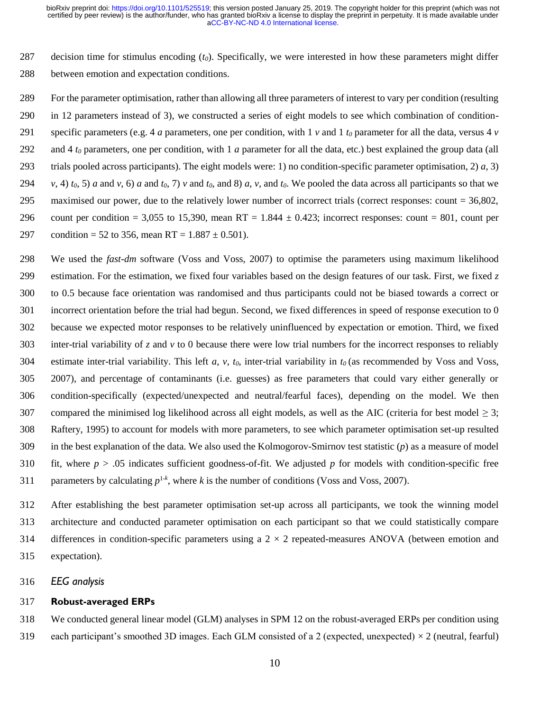decision time for stimulus encoding (*t0*). Specifically, we were interested in how these parameters might differ between emotion and expectation conditions.

 For the parameter optimisation, rather than allowing all three parameters of interest to vary per condition (resulting in 12 parameters instead of 3), we constructed a series of eight models to see which combination of condition-291 specific parameters (e.g. 4 *a* parameters, one per condition, with 1 *v* and 1  $t_0$  parameter for all the data, versus 4 *v* 292 and 4  $t_0$  parameters, one per condition, with 1 *a* parameter for all the data, etc.) best explained the group data (all 293 trials pooled across participants). The eight models were: 1) no condition-specific parameter optimisation, 2)  $a$ , 3) 294 v, 4)  $t_0$ , 5) a and v, 6) a and  $t_0$ , 7) v and  $t_0$ , and 8) a, v, and  $t_0$ . We pooled the data across all participants so that we maximised our power, due to the relatively lower number of incorrect trials (correct responses: count = 36,802, 296 count per condition = 3,055 to 15,390, mean RT = 1.844  $\pm$  0.423; incorrect responses: count = 801, count per 297 condition = 52 to 356, mean RT =  $1.887 \pm 0.501$ ).

 We used the *fast-dm* software (Voss and Voss, 2007) to optimise the parameters using maximum likelihood estimation. For the estimation, we fixed four variables based on the design features of our task. First, we fixed *z* to 0.5 because face orientation was randomised and thus participants could not be biased towards a correct or incorrect orientation before the trial had begun. Second, we fixed differences in speed of response execution to 0 because we expected motor responses to be relatively uninfluenced by expectation or emotion. Third, we fixed inter-trial variability of *z* and *v* to 0 because there were low trial numbers for the incorrect responses to reliably estimate inter-trial variability. This left *a*, *v*, *t0*, inter-trial variability in *t<sup>0</sup>* (as recommended by Voss and Voss, 2007), and percentage of contaminants (i.e. guesses) as free parameters that could vary either generally or condition-specifically (expected/unexpected and neutral/fearful faces), depending on the model. We then 307 compared the minimised log likelihood across all eight models, as well as the AIC (criteria for best model  $\geq$  3; Raftery, 1995) to account for models with more parameters, to see which parameter optimisation set-up resulted in the best explanation of the data. We also used the Kolmogorov-Smirnov test statistic (*p*) as a measure of model fit, where *p* > .05 indicates sufficient goodness-of-fit. We adjusted *p* for models with condition-specific free 311 parameters by calculating  $p^{1-k}$ , where *k* is the number of conditions (Voss and Voss, 2007).

 After establishing the best parameter optimisation set-up across all participants, we took the winning model architecture and conducted parameter optimisation on each participant so that we could statistically compare 314 differences in condition-specific parameters using a  $2 \times 2$  repeated-measures ANOVA (between emotion and expectation).

*EEG analysis*

#### **Robust-averaged ERPs**

 We conducted general linear model (GLM) analyses in SPM 12 on the robust-averaged ERPs per condition using 319 each participant's smoothed 3D images. Each GLM consisted of a 2 (expected, unexpected)  $\times$  2 (neutral, fearful)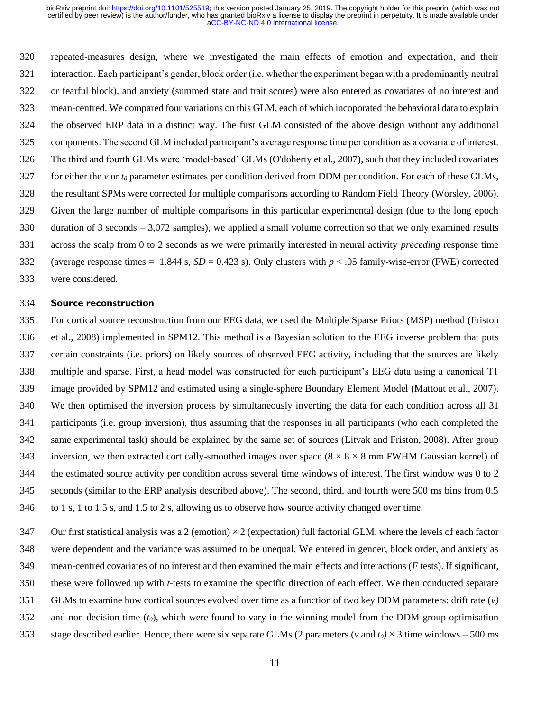repeated-measures design, where we investigated the main effects of emotion and expectation, and their interaction. Each participant's gender, block order (i.e. whether the experiment began with a predominantly neutral or fearful block), and anxiety (summed state and trait scores) were also entered as covariates of no interest and mean-centred. We compared four variations on this GLM, each of which incoporated the behavioral data to explain the observed ERP data in a distinct way. The first GLM consisted of the above design without any additional components. The second GLM included participant's average response time per condition as a covariate of interest. The third and fourth GLMs were 'model-based' GLMs (O'doherty et al., 2007), such that they included covariates for either the *v* or *t<sup>0</sup>* parameter estimates per condition derived from DDM per condition. For each of these GLMs, the resultant SPMs were corrected for multiple comparisons according to Random Field Theory (Worsley, 2006). Given the large number of multiple comparisons in this particular experimental design (due to the long epoch duration of 3 seconds – 3,072 samples), we applied a small volume correction so that we only examined results across the scalp from 0 to 2 seconds as we were primarily interested in neural activity *preceding* response time (average response times = 1.844 s, *SD* = 0.423 s). Only clusters with *p* < .05 family-wise-error (FWE) corrected were considered.

#### **Source reconstruction**

- For cortical source reconstruction from our EEG data, we used the Multiple Sparse Priors (MSP) method (Friston et al., 2008) implemented in SPM12. This method is a Bayesian solution to the EEG inverse problem that puts certain constraints (i.e. priors) on likely sources of observed EEG activity, including that the sources are likely multiple and sparse. First, a head model was constructed for each participant's EEG data using a canonical T1 image provided by SPM12 and estimated using a single-sphere Boundary Element Model (Mattout et al., 2007). We then optimised the inversion process by simultaneously inverting the data for each condition across all 31 participants (i.e. group inversion), thus assuming that the responses in all participants (who each completed the same experimental task) should be explained by the same set of sources (Litvak and Friston, 2008). After group 343 inversion, we then extracted cortically-smoothed images over space  $(8 \times 8 \times 8 \text{ mm}$  FWHM Gaussian kernel) of the estimated source activity per condition across several time windows of interest. The first window was 0 to 2 seconds (similar to the ERP analysis described above). The second, third, and fourth were 500 ms bins from 0.5 to 1 s, 1 to 1.5 s, and 1.5 to 2 s, allowing us to observe how source activity changed over time.
- 347 Our first statistical analysis was a 2 (emotion)  $\times$  2 (expectation) full factorial GLM, where the levels of each factor were dependent and the variance was assumed to be unequal. We entered in gender, block order, and anxiety as mean-centred covariates of no interest and then examined the main effects and interactions (*F* tests). If significant, these were followed up with *t*-tests to examine the specific direction of each effect. We then conducted separate GLMs to examine how cortical sources evolved over time as a function of two key DDM parameters: drift rate (*v)*  and non-decision time (*t0*), which were found to vary in the winning model from the DDM group optimisation 353 stage described earlier. Hence, there were six separate GLMs (2 parameters ( $\nu$  and  $t_0$ )  $\times$  3 time windows – 500 ms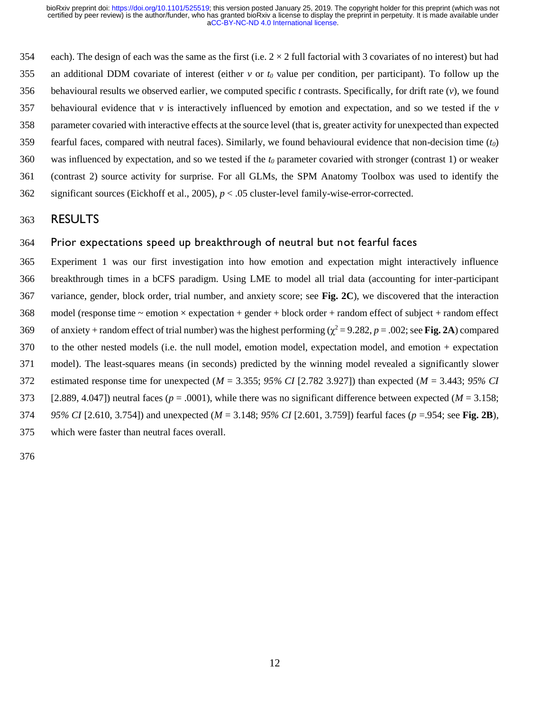354 each). The design of each was the same as the first (i.e.  $2 \times 2$  full factorial with 3 covariates of no interest) but had an additional DDM covariate of interest (either *v* or *t<sup>0</sup>* value per condition, per participant). To follow up the 356 behavioural results we observed earlier, we computed specific  $t$  contrasts. Specifically, for drift rate  $(v)$ , we found 357 behavioural evidence that  $\nu$  is interactively influenced by emotion and expectation, and so we tested if the  $\nu$  parameter covaried with interactive effects at the source level (that is, greater activity for unexpected than expected fearful faces, compared with neutral faces). Similarly, we found behavioural evidence that non-decision time (*t0*) was influenced by expectation, and so we tested if the *t<sup>0</sup>* parameter covaried with stronger (contrast 1) or weaker (contrast 2) source activity for surprise. For all GLMs, the SPM Anatomy Toolbox was used to identify the significant sources (Eickhoff et al., 2005), *p* < .05 cluster-level family-wise-error-corrected.

# RESULTS

## Prior expectations speed up breakthrough of neutral but not fearful faces

 Experiment 1 was our first investigation into how emotion and expectation might interactively influence breakthrough times in a bCFS paradigm. Using LME to model all trial data (accounting for inter-participant variance, gender, block order, trial number, and anxiety score; see **Fig. 2C**), we discovered that the interaction model (response time  $\sim$  emotion  $\times$  expectation + gender + block order + random effect of subject + random effect 369 of anxiety + random effect of trial number) was the highest performing ( $\chi^2$  = 9.282, *p* = .002; see **Fig. 2A**) compared to the other nested models (i.e. the null model, emotion model, expectation model, and emotion + expectation model). The least-squares means (in seconds) predicted by the winning model revealed a significantly slower estimated response time for unexpected (*M* = 3.355; *95% CI* [2.782 3.927]) than expected (*M* = 3.443; *95% CI*  373 [2.889, 4.047]) neutral faces ( $p = .0001$ ), while there was no significant difference between expected ( $M = 3.158$ ; *95% CI* [2.610, 3.754]) and unexpected (*M* = 3.148; *95% CI* [2.601, 3.759]) fearful faces (*p* =.954; see **Fig. 2B**), which were faster than neutral faces overall.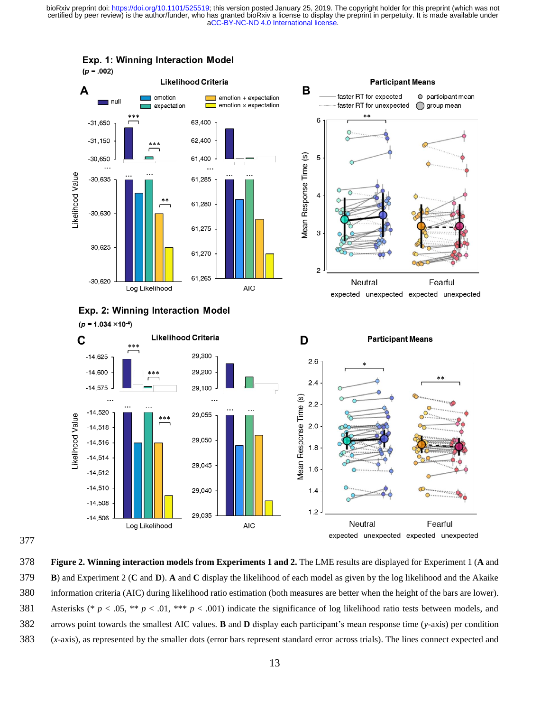

Exp. 1: Winning Interaction Model



 $-14,508$ 

 $-14,506$ 

Log Likelihood



**AIC** 

29,035

 $1.2$ 

Neutral

Fearful

expected unexpected expected unexpected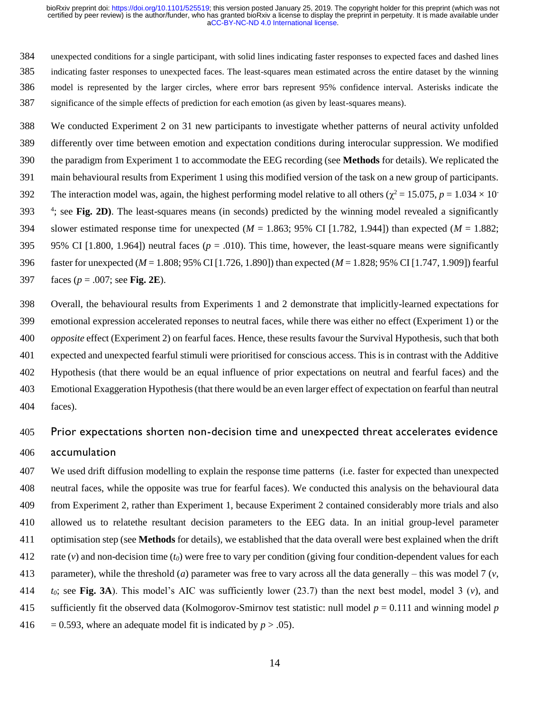unexpected conditions for a single participant, with solid lines indicating faster responses to expected faces and dashed lines indicating faster responses to unexpected faces. The least-squares mean estimated across the entire dataset by the winning model is represented by the larger circles, where error bars represent 95% confidence interval. Asterisks indicate the significance of the simple effects of prediction for each emotion (as given by least-squares means).

 We conducted Experiment 2 on 31 new participants to investigate whether patterns of neural activity unfolded differently over time between emotion and expectation conditions during interocular suppression. We modified the paradigm from Experiment 1 to accommodate the EEG recording (see **Methods** for details). We replicated the main behavioural results from Experiment 1 using this modified version of the task on a new group of participants. The interaction model was, again, the highest performing model relative to all others ( $\chi^2$  = 15.075, *p* = 1.034 × 10<sup>-</sup> 393 <sup>4</sup>; see Fig. 2D). The least-squares means (in seconds) predicted by the winning model revealed a significantly 394 slower estimated response time for unexpected ( $M = 1.863$ ; 95% CI [1.782, 1.944]) than expected ( $M = 1.882$ ; 395 95% CI  $[1.800, 1.964]$  neutral faces ( $p = .010$ ). This time, however, the least-square means were significantly faster for unexpected (*M* = 1.808; 95% CI [1.726, 1.890]) than expected (*M* = 1.828; 95% CI [1.747, 1.909]) fearful faces (*p* = .007; see **Fig. 2E**).

 Overall, the behavioural results from Experiments 1 and 2 demonstrate that implicitly-learned expectations for emotional expression accelerated reponses to neutral faces, while there was either no effect (Experiment 1) or the *opposite* effect (Experiment 2) on fearful faces. Hence, these results favour the Survival Hypothesis, such that both expected and unexpected fearful stimuli were prioritised for conscious access. This is in contrast with the Additive Hypothesis (that there would be an equal influence of prior expectations on neutral and fearful faces) and the Emotional Exaggeration Hypothesis (that there would be an even larger effect of expectation on fearful than neutral faces).

# Prior expectations shorten non-decision time and unexpected threat accelerates evidence accumulation

 We used drift diffusion modelling to explain the response time patterns (i.e. faster for expected than unexpected neutral faces, while the opposite was true for fearful faces). We conducted this analysis on the behavioural data from Experiment 2, rather than Experiment 1, because Experiment 2 contained considerably more trials and also allowed us to relatethe resultant decision parameters to the EEG data. In an initial group-level parameter optimisation step (see **Methods** for details), we established that the data overall were best explained when the drift rate (*v*) and non-decision time (*t0*) were free to vary per condition (giving four condition-dependent values for each parameter), while the threshold (*a*) parameter was free to vary across all the data generally – this was model 7 (*v*, *t<sub>0</sub>*; see Fig. 3A). This model's AIC was sufficiently lower (23.7) than the next best model, model 3 (*v*), and sufficiently fit the observed data (Kolmogorov-Smirnov test statistic: null model *p* = 0.111 and winning model *p*  416 = 0.593, where an adequate model fit is indicated by  $p > .05$ ).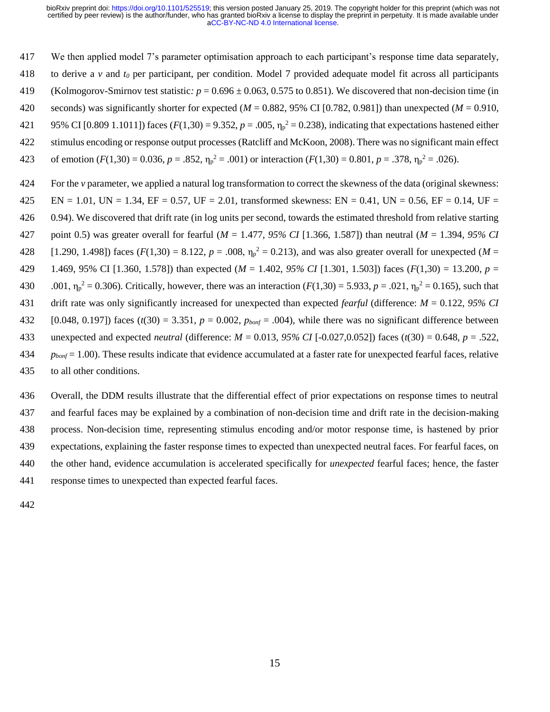We then applied model 7's parameter optimisation approach to each participant's response time data separately, to derive a *v* and *t<sup>0</sup>* per participant, per condition. Model 7 provided adequate model fit across all participants 419 (Kolmogorov-Smirnov test statistic:  $p = 0.696 \pm 0.063, 0.575$  to 0.851). We discovered that non-decision time (in seconds) was significantly shorter for expected (*M* = 0.882, 95% CI [0.782, 0.981]) than unexpected (*M* = 0.910, 421 95% CI [0.809 1.1011]) faces ( $F(1,30) = 9.352$ ,  $p = .005$ ,  $\eta_p^2 = 0.238$ ), indicating that expectations hastened either stimulus encoding or response output processes (Ratcliff and McKoon, 2008). There was no significant main effect 423 of emotion  $(F(1,30) = 0.036, p = .852, \eta_p^2 = .001)$  or interaction  $(F(1,30) = 0.801, p = .378, \eta_p^2 = .026)$ . For the *v* parameter, we applied a natural log transformation to correct the skewness of the data (original skewness: 425 EN = 1.01, UN = 1.34, EF = 0.57, UF = 2.01, transformed skewness: EN = 0.41, UN = 0.56, EF = 0.14, UF = 0.94). We discovered that drift rate (in log units per second, towards the estimated threshold from relative starting point 0.5) was greater overall for fearful (*M* = 1.477, *95% CI* [1.366, 1.587]) than neutral (*M* = 1.394, *95% CI* 428 [1.290, 1.498]) faces  $(F(1,30) = 8.122, p = .008, \eta_p^2 = 0.213)$ , and was also greater overall for unexpected  $(M = 1.290, p = .008)$  1.469, 95% CI [1.360, 1.578]) than expected (*M* = 1.402, *95% CI* [1.301, 1.503]) faces (*F*(1,30) = 13.200, *p* = 430 .001,  $\eta_p^2 = 0.306$ ). Critically, however, there was an interaction  $(F(1,30) = 5.933, p = .021, \eta_p^2 = 0.165)$ , such that drift rate was only significantly increased for unexpected than expected *fearful* (difference: *M* = 0.122, *95% CI*

- 432 [0.048, 0.197]) faces  $(t(30) = 3.351, p = 0.002, p_{bont} = .004$ , while there was no significant difference between unexpected and expected *neutral* (difference: *M* = 0.013, *95% CI* [-0.027,0.052]) faces (*t*(30) = 0.648, *p* = .522,
- *pbonf* = 1.00). These results indicate that evidence accumulated at a faster rate for unexpected fearful faces, relative
- to all other conditions.

 Overall, the DDM results illustrate that the differential effect of prior expectations on response times to neutral and fearful faces may be explained by a combination of non-decision time and drift rate in the decision-making process. Non-decision time, representing stimulus encoding and/or motor response time, is hastened by prior expectations, explaining the faster response times to expected than unexpected neutral faces. For fearful faces, on the other hand, evidence accumulation is accelerated specifically for *unexpected* fearful faces; hence, the faster response times to unexpected than expected fearful faces.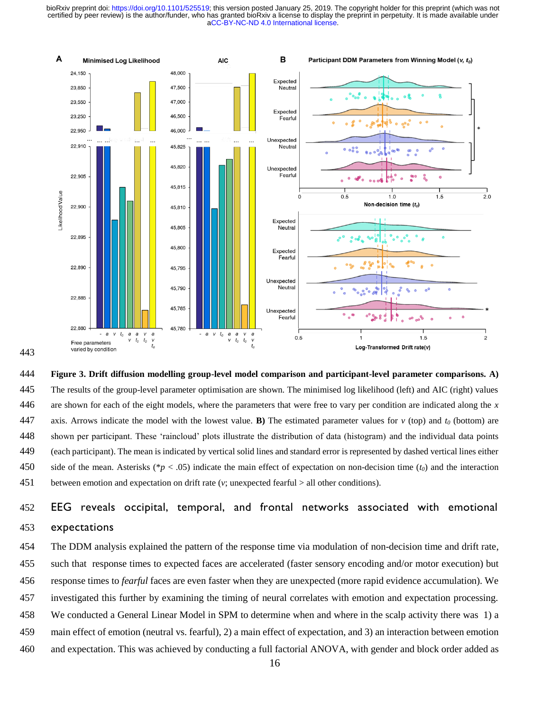

 **Figure 3. Drift diffusion modelling group-level model comparison and participant-level parameter comparisons. A)**  The results of the group-level parameter optimisation are shown. The minimised log likelihood (left) and AIC (right) values are shown for each of the eight models, where the parameters that were free to vary per condition are indicated along the *x* 447 axis. Arrows indicate the model with the lowest value. **B**) The estimated parameter values for  $v$  (top) and  $t_0$  (bottom) are shown per participant. These 'raincloud' plots illustrate the distribution of data (histogram) and the individual data points (each participant). The mean is indicated by vertical solid lines and standard error is represented by dashed vertical lines either side of the mean. Asterisks (\**p* < .05) indicate the main effect of expectation on non-decision time (*t0*) and the interaction between emotion and expectation on drift rate (*v*; unexpected fearful > all other conditions).

# EEG reveals occipital, temporal, and frontal networks associated with emotional expectations

 The DDM analysis explained the pattern of the response time via modulation of non-decision time and drift rate, such that response times to expected faces are accelerated (faster sensory encoding and/or motor execution) but response times to *fearful* faces are even faster when they are unexpected (more rapid evidence accumulation). We investigated this further by examining the timing of neural correlates with emotion and expectation processing. We conducted a General Linear Model in SPM to determine when and where in the scalp activity there was 1) a main effect of emotion (neutral vs. fearful), 2) a main effect of expectation, and 3) an interaction between emotion

and expectation. This was achieved by conducting a full factorial ANOVA, with gender and block order added as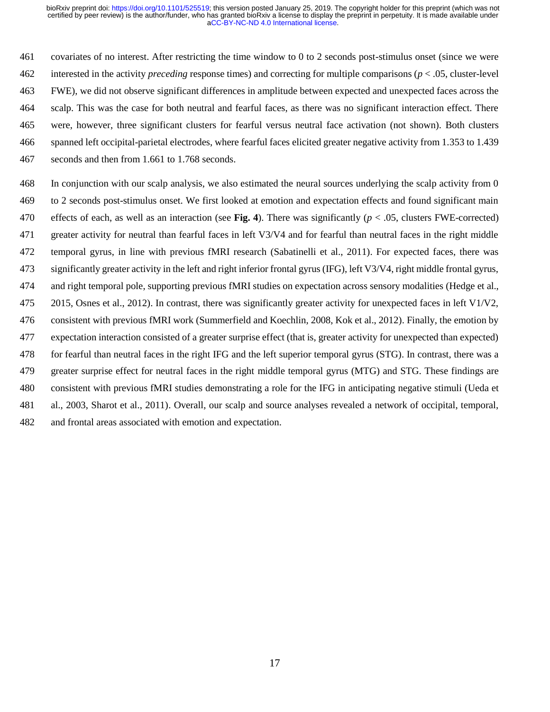covariates of no interest. After restricting the time window to 0 to 2 seconds post-stimulus onset (since we were interested in the activity *preceding* response times) and correcting for multiple comparisons (*p* < .05, cluster-level FWE), we did not observe significant differences in amplitude between expected and unexpected faces across the scalp. This was the case for both neutral and fearful faces, as there was no significant interaction effect. There were, however, three significant clusters for fearful versus neutral face activation (not shown). Both clusters spanned left occipital-parietal electrodes, where fearful faces elicited greater negative activity from 1.353 to 1.439 seconds and then from 1.661 to 1.768 seconds.

 In conjunction with our scalp analysis, we also estimated the neural sources underlying the scalp activity from 0 to 2 seconds post-stimulus onset. We first looked at emotion and expectation effects and found significant main effects of each, as well as an interaction (see **Fig. 4**). There was significantly (*p* < .05, clusters FWE-corrected) greater activity for neutral than fearful faces in left V3/V4 and for fearful than neutral faces in the right middle temporal gyrus, in line with previous fMRI research (Sabatinelli et al., 2011). For expected faces, there was significantly greater activity in the left and right inferior frontal gyrus (IFG), left V3/V4, right middle frontal gyrus, and right temporal pole, supporting previous fMRI studies on expectation across sensory modalities (Hedge et al., 475 2015, Osnes et al., 2012). In contrast, there was significantly greater activity for unexpected faces in left  $V1/V2$ , consistent with previous fMRI work (Summerfield and Koechlin, 2008, Kok et al., 2012). Finally, the emotion by expectation interaction consisted of a greater surprise effect (that is, greater activity for unexpected than expected) for fearful than neutral faces in the right IFG and the left superior temporal gyrus (STG). In contrast, there was a greater surprise effect for neutral faces in the right middle temporal gyrus (MTG) and STG. These findings are consistent with previous fMRI studies demonstrating a role for the IFG in anticipating negative stimuli (Ueda et al., 2003, Sharot et al., 2011). Overall, our scalp and source analyses revealed a network of occipital, temporal, and frontal areas associated with emotion and expectation.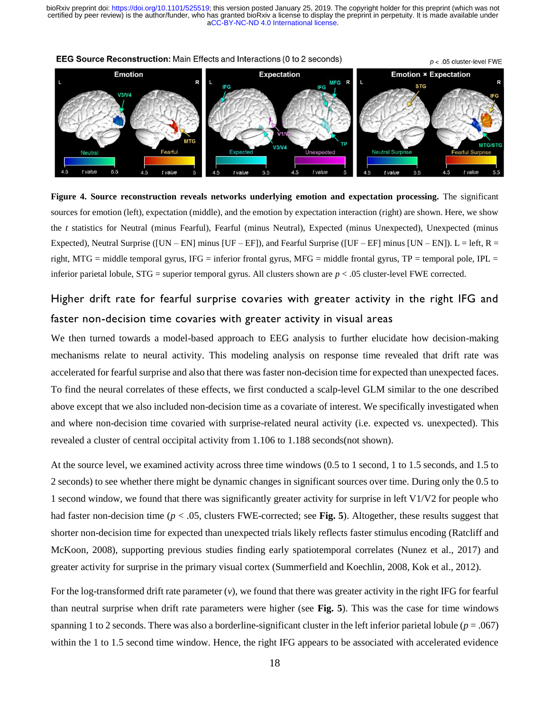

**EEG Source Reconstruction:** Main Effects and Interactions (0 to 2 seconds)

**Figure 4. Source reconstruction reveals networks underlying emotion and expectation processing.** The significant sources for emotion (left), expectation (middle), and the emotion by expectation interaction (right) are shown. Here, we show the *t* statistics for Neutral (minus Fearful), Fearful (minus Neutral), Expected (minus Unexpected), Unexpected (minus Expected), Neutral Surprise ([UN – EN] minus [UF – EF]), and Fearful Surprise ([UF – EF] minus [UN – EN]). L = left, R = right, MTG = middle temporal gyrus, IFG = inferior frontal gyrus, MFG = middle frontal gyrus, TP = temporal pole, IPL = inferior parietal lobule, STG = superior temporal gyrus. All clusters shown are *p* < .05 cluster-level FWE corrected.

# Higher drift rate for fearful surprise covaries with greater activity in the right IFG and faster non-decision time covaries with greater activity in visual areas

We then turned towards a model-based approach to EEG analysis to further elucidate how decision-making mechanisms relate to neural activity. This modeling analysis on response time revealed that drift rate was accelerated for fearful surprise and also that there was faster non-decision time for expected than unexpected faces. To find the neural correlates of these effects, we first conducted a scalp-level GLM similar to the one described above except that we also included non-decision time as a covariate of interest. We specifically investigated when and where non-decision time covaried with surprise-related neural activity (i.e. expected vs. unexpected). This revealed a cluster of central occipital activity from 1.106 to 1.188 seconds(not shown).

At the source level, we examined activity across three time windows (0.5 to 1 second, 1 to 1.5 seconds, and 1.5 to 2 seconds) to see whether there might be dynamic changes in significant sources over time. During only the 0.5 to 1 second window, we found that there was significantly greater activity for surprise in left V1/V2 for people who had faster non-decision time (*p* < .05, clusters FWE-corrected; see **Fig. 5**). Altogether, these results suggest that shorter non-decision time for expected than unexpected trials likely reflects faster stimulus encoding (Ratcliff and McKoon, 2008), supporting previous studies finding early spatiotemporal correlates (Nunez et al., 2017) and greater activity for surprise in the primary visual cortex (Summerfield and Koechlin, 2008, Kok et al., 2012).

For the log-transformed drift rate parameter (*v*), we found that there was greater activity in the right IFG for fearful than neutral surprise when drift rate parameters were higher (see **Fig. 5**). This was the case for time windows spanning 1 to 2 seconds. There was also a borderline-significant cluster in the left inferior parietal lobule  $(p = .067)$ within the 1 to 1.5 second time window. Hence, the right IFG appears to be associated with accelerated evidence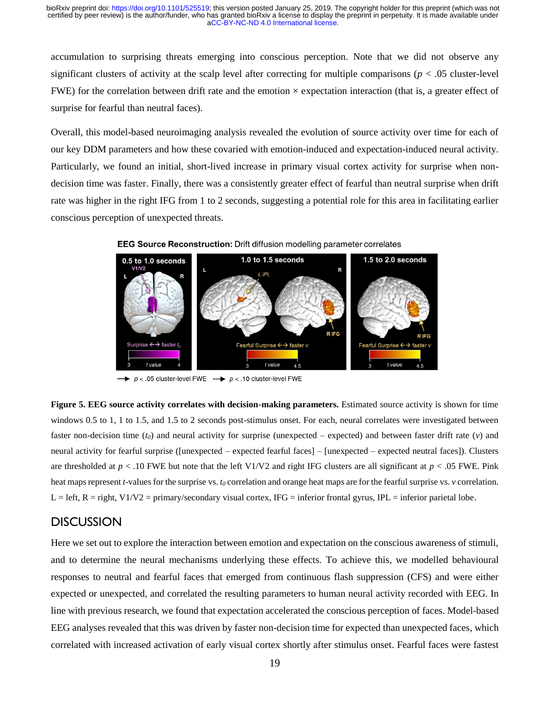accumulation to surprising threats emerging into conscious perception. Note that we did not observe any significant clusters of activity at the scalp level after correcting for multiple comparisons ( $p < .05$  cluster-level FWE) for the correlation between drift rate and the emotion  $\times$  expectation interaction (that is, a greater effect of surprise for fearful than neutral faces).

Overall, this model-based neuroimaging analysis revealed the evolution of source activity over time for each of our key DDM parameters and how these covaried with emotion-induced and expectation-induced neural activity. Particularly, we found an initial, short-lived increase in primary visual cortex activity for surprise when nondecision time was faster. Finally, there was a consistently greater effect of fearful than neutral surprise when drift rate was higher in the right IFG from 1 to 2 seconds, suggesting a potential role for this area in facilitating earlier conscious perception of unexpected threats.





 $\rightarrow p$  < .05 cluster-level FWE --- $\rightarrow p$  < .10 cluster-level FWE

**Figure 5. EEG source activity correlates with decision-making parameters.** Estimated source activity is shown for time windows 0.5 to 1, 1 to 1.5, and 1.5 to 2 seconds post-stimulus onset. For each, neural correlates were investigated between faster non-decision time (*t0*) and neural activity for surprise (unexpected – expected) and between faster drift rate (*v*) and neural activity for fearful surprise ([unexpected – expected fearful faces] – [unexpected – expected neutral faces]). Clusters are thresholded at  $p < 0.10$  FWE but note that the left V1/V2 and right IFG clusters are all significant at  $p < 0.05$  FWE. Pink heat maps represent *t*-values for the surprise vs. *t<sup>0</sup>* correlation and orange heat maps are for the fearful surprise vs. *v* correlation.  $L = left, R = right, V1/V2 = primary/secondary visual cortex, IFG = inferior frontal gyrus, IPL = inferior parietal lobe.$ 

## **DISCUSSION**

Here we set out to explore the interaction between emotion and expectation on the conscious awareness of stimuli, and to determine the neural mechanisms underlying these effects. To achieve this, we modelled behavioural responses to neutral and fearful faces that emerged from continuous flash suppression (CFS) and were either expected or unexpected, and correlated the resulting parameters to human neural activity recorded with EEG. In line with previous research, we found that expectation accelerated the conscious perception of faces. Model-based EEG analyses revealed that this was driven by faster non-decision time for expected than unexpected faces, which correlated with increased activation of early visual cortex shortly after stimulus onset. Fearful faces were fastest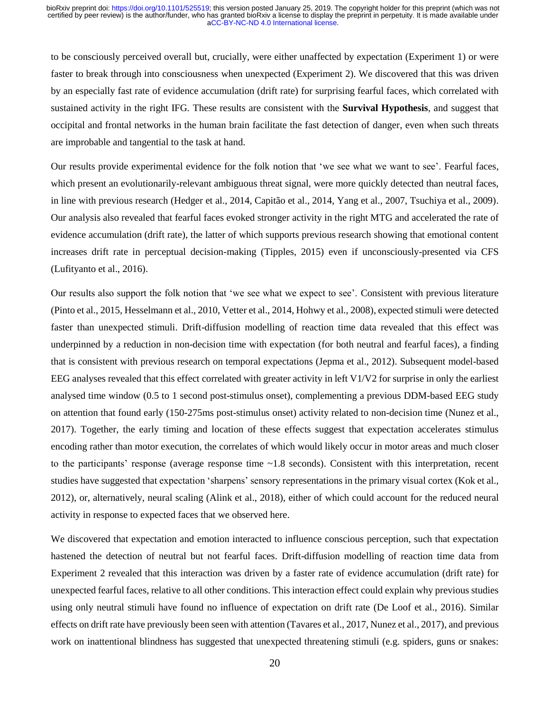to be consciously perceived overall but, crucially, were either unaffected by expectation (Experiment 1) or were faster to break through into consciousness when unexpected (Experiment 2). We discovered that this was driven by an especially fast rate of evidence accumulation (drift rate) for surprising fearful faces, which correlated with sustained activity in the right IFG. These results are consistent with the **Survival Hypothesis**, and suggest that occipital and frontal networks in the human brain facilitate the fast detection of danger, even when such threats are improbable and tangential to the task at hand.

Our results provide experimental evidence for the folk notion that 'we see what we want to see'. Fearful faces, which present an evolutionarily-relevant ambiguous threat signal, were more quickly detected than neutral faces, in line with previous research (Hedger et al., 2014, Capitão et al., 2014, Yang et al., 2007, Tsuchiya et al., 2009). Our analysis also revealed that fearful faces evoked stronger activity in the right MTG and accelerated the rate of evidence accumulation (drift rate), the latter of which supports previous research showing that emotional content increases drift rate in perceptual decision-making (Tipples, 2015) even if unconsciously-presented via CFS (Lufityanto et al., 2016).

Our results also support the folk notion that 'we see what we expect to see'. Consistent with previous literature (Pinto et al., 2015, Hesselmann et al., 2010, Vetter et al., 2014, Hohwy et al., 2008), expected stimuli were detected faster than unexpected stimuli. Drift-diffusion modelling of reaction time data revealed that this effect was underpinned by a reduction in non-decision time with expectation (for both neutral and fearful faces), a finding that is consistent with previous research on temporal expectations (Jepma et al., 2012). Subsequent model-based EEG analyses revealed that this effect correlated with greater activity in left V1/V2 for surprise in only the earliest analysed time window (0.5 to 1 second post-stimulus onset), complementing a previous DDM-based EEG study on attention that found early (150-275ms post-stimulus onset) activity related to non-decision time (Nunez et al., 2017). Together, the early timing and location of these effects suggest that expectation accelerates stimulus encoding rather than motor execution, the correlates of which would likely occur in motor areas and much closer to the participants' response (average response time ~1.8 seconds). Consistent with this interpretation, recent studies have suggested that expectation 'sharpens' sensory representations in the primary visual cortex (Kok et al., 2012), or, alternatively, neural scaling (Alink et al., 2018), either of which could account for the reduced neural activity in response to expected faces that we observed here.

We discovered that expectation and emotion interacted to influence conscious perception, such that expectation hastened the detection of neutral but not fearful faces. Drift-diffusion modelling of reaction time data from Experiment 2 revealed that this interaction was driven by a faster rate of evidence accumulation (drift rate) for unexpected fearful faces, relative to all other conditions. This interaction effect could explain why previous studies using only neutral stimuli have found no influence of expectation on drift rate (De Loof et al., 2016). Similar effects on drift rate have previously been seen with attention (Tavares et al., 2017, Nunez et al., 2017), and previous work on inattentional blindness has suggested that unexpected threatening stimuli (e.g. spiders, guns or snakes: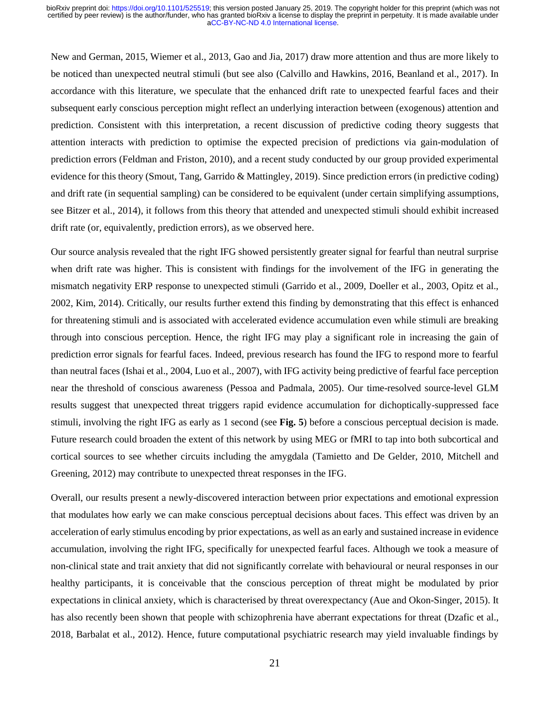New and German, 2015, Wiemer et al., 2013, Gao and Jia, 2017) draw more attention and thus are more likely to be noticed than unexpected neutral stimuli (but see also (Calvillo and Hawkins, 2016, Beanland et al., 2017). In accordance with this literature, we speculate that the enhanced drift rate to unexpected fearful faces and their subsequent early conscious perception might reflect an underlying interaction between (exogenous) attention and prediction. Consistent with this interpretation, a recent discussion of predictive coding theory suggests that attention interacts with prediction to optimise the expected precision of predictions via gain-modulation of prediction errors (Feldman and Friston, 2010), and a recent study conducted by our group provided experimental evidence for this theory (Smout, Tang, Garrido & Mattingley, 2019). Since prediction errors (in predictive coding) and drift rate (in sequential sampling) can be considered to be equivalent (under certain simplifying assumptions, see Bitzer et al., 2014), it follows from this theory that attended and unexpected stimuli should exhibit increased drift rate (or, equivalently, prediction errors), as we observed here.

Our source analysis revealed that the right IFG showed persistently greater signal for fearful than neutral surprise when drift rate was higher. This is consistent with findings for the involvement of the IFG in generating the mismatch negativity ERP response to unexpected stimuli (Garrido et al., 2009, Doeller et al., 2003, Opitz et al., 2002, Kim, 2014). Critically, our results further extend this finding by demonstrating that this effect is enhanced for threatening stimuli and is associated with accelerated evidence accumulation even while stimuli are breaking through into conscious perception. Hence, the right IFG may play a significant role in increasing the gain of prediction error signals for fearful faces. Indeed, previous research has found the IFG to respond more to fearful than neutral faces (Ishai et al., 2004, Luo et al., 2007), with IFG activity being predictive of fearful face perception near the threshold of conscious awareness (Pessoa and Padmala, 2005). Our time-resolved source-level GLM results suggest that unexpected threat triggers rapid evidence accumulation for dichoptically-suppressed face stimuli, involving the right IFG as early as 1 second (see **Fig. 5**) before a conscious perceptual decision is made. Future research could broaden the extent of this network by using MEG or fMRI to tap into both subcortical and cortical sources to see whether circuits including the amygdala (Tamietto and De Gelder, 2010, Mitchell and Greening, 2012) may contribute to unexpected threat responses in the IFG.

Overall, our results present a newly-discovered interaction between prior expectations and emotional expression that modulates how early we can make conscious perceptual decisions about faces. This effect was driven by an acceleration of early stimulus encoding by prior expectations, as well as an early and sustained increase in evidence accumulation, involving the right IFG, specifically for unexpected fearful faces. Although we took a measure of non-clinical state and trait anxiety that did not significantly correlate with behavioural or neural responses in our healthy participants, it is conceivable that the conscious perception of threat might be modulated by prior expectations in clinical anxiety, which is characterised by threat overexpectancy (Aue and Okon-Singer, 2015). It has also recently been shown that people with schizophrenia have aberrant expectations for threat (Dzafic et al., 2018, Barbalat et al., 2012). Hence, future computational psychiatric research may yield invaluable findings by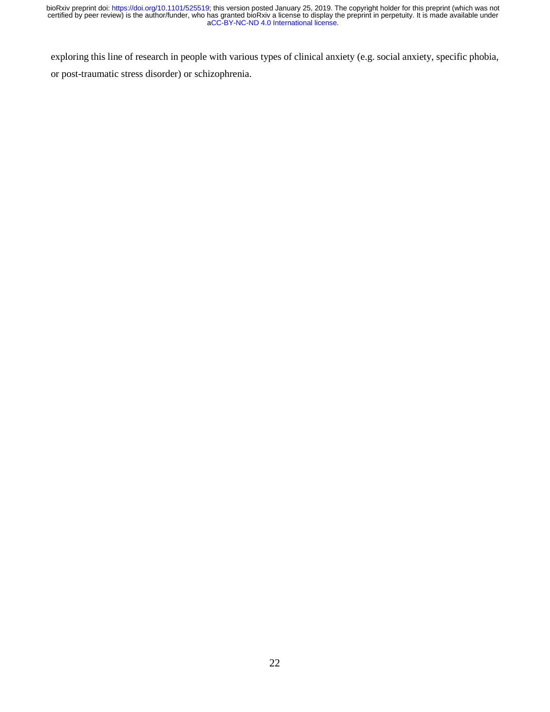exploring this line of research in people with various types of clinical anxiety (e.g. social anxiety, specific phobia, or post-traumatic stress disorder) or schizophrenia.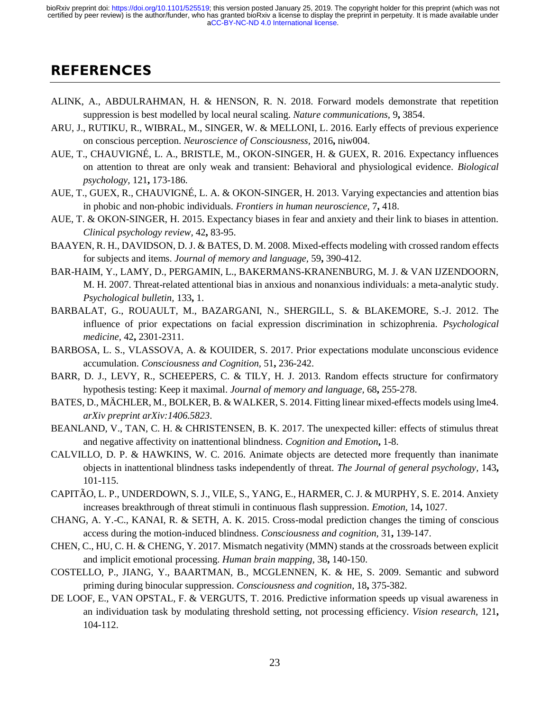# **REFERENCES**

- ALINK, A., ABDULRAHMAN, H. & HENSON, R. N. 2018. Forward models demonstrate that repetition suppression is best modelled by local neural scaling. *Nature communications,* 9**,** 3854.
- ARU, J., RUTIKU, R., WIBRAL, M., SINGER, W. & MELLONI, L. 2016. Early effects of previous experience on conscious perception. *Neuroscience of Consciousness,* 2016**,** niw004.
- AUE, T., CHAUVIGNÉ, L. A., BRISTLE, M., OKON-SINGER, H. & GUEX, R. 2016. Expectancy influences on attention to threat are only weak and transient: Behavioral and physiological evidence. *Biological psychology,* 121**,** 173-186.
- AUE, T., GUEX, R., CHAUVIGNÉ, L. A. & OKON-SINGER, H. 2013. Varying expectancies and attention bias in phobic and non-phobic individuals. *Frontiers in human neuroscience,* 7**,** 418.
- AUE, T. & OKON-SINGER, H. 2015. Expectancy biases in fear and anxiety and their link to biases in attention. *Clinical psychology review,* 42**,** 83-95.
- BAAYEN, R. H., DAVIDSON, D. J. & BATES, D. M. 2008. Mixed-effects modeling with crossed random effects for subjects and items. *Journal of memory and language,* 59**,** 390-412.
- BAR-HAIM, Y., LAMY, D., PERGAMIN, L., BAKERMANS-KRANENBURG, M. J. & VAN IJZENDOORN, M. H. 2007. Threat-related attentional bias in anxious and nonanxious individuals: a meta-analytic study. *Psychological bulletin,* 133**,** 1.
- BARBALAT, G., ROUAULT, M., BAZARGANI, N., SHERGILL, S. & BLAKEMORE, S.-J. 2012. The influence of prior expectations on facial expression discrimination in schizophrenia. *Psychological medicine,* 42**,** 2301-2311.
- BARBOSA, L. S., VLASSOVA, A. & KOUIDER, S. 2017. Prior expectations modulate unconscious evidence accumulation. *Consciousness and Cognition,* 51**,** 236-242.
- BARR, D. J., LEVY, R., SCHEEPERS, C. & TILY, H. J. 2013. Random effects structure for confirmatory hypothesis testing: Keep it maximal. *Journal of memory and language,* 68**,** 255-278.
- BATES, D., MÄCHLER, M., BOLKER, B. & WALKER, S. 2014. Fitting linear mixed-effects models using lme4. *arXiv preprint arXiv:1406.5823*.
- BEANLAND, V., TAN, C. H. & CHRISTENSEN, B. K. 2017. The unexpected killer: effects of stimulus threat and negative affectivity on inattentional blindness. *Cognition and Emotion***,** 1-8.
- CALVILLO, D. P. & HAWKINS, W. C. 2016. Animate objects are detected more frequently than inanimate objects in inattentional blindness tasks independently of threat. *The Journal of general psychology,* 143**,** 101-115.
- CAPITÃO, L. P., UNDERDOWN, S. J., VILE, S., YANG, E., HARMER, C. J. & MURPHY, S. E. 2014. Anxiety increases breakthrough of threat stimuli in continuous flash suppression. *Emotion,* 14**,** 1027.
- CHANG, A. Y.-C., KANAI, R. & SETH, A. K. 2015. Cross-modal prediction changes the timing of conscious access during the motion-induced blindness. *Consciousness and cognition,* 31**,** 139-147.
- CHEN, C., HU, C. H. & CHENG, Y. 2017. Mismatch negativity (MMN) stands at the crossroads between explicit and implicit emotional processing. *Human brain mapping,* 38**,** 140-150.
- COSTELLO, P., JIANG, Y., BAARTMAN, B., MCGLENNEN, K. & HE, S. 2009. Semantic and subword priming during binocular suppression. *Consciousness and cognition,* 18**,** 375-382.
- DE LOOF, E., VAN OPSTAL, F. & VERGUTS, T. 2016. Predictive information speeds up visual awareness in an individuation task by modulating threshold setting, not processing efficiency. *Vision research,* 121**,** 104-112.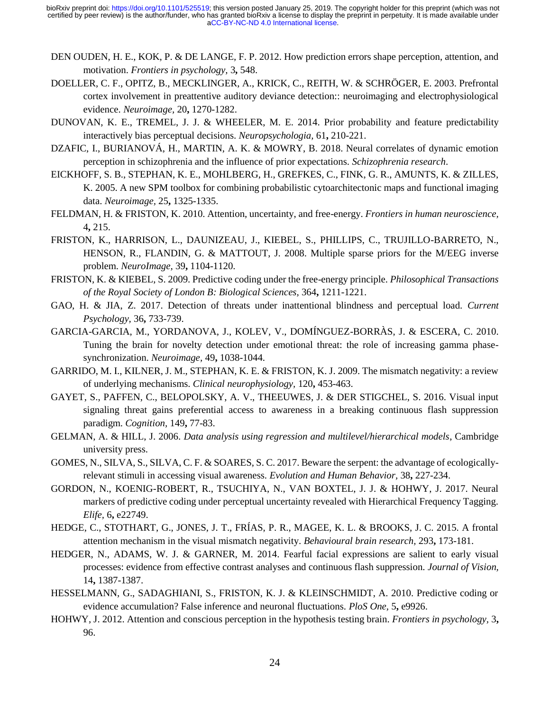- DEN OUDEN, H. E., KOK, P. & DE LANGE, F. P. 2012. How prediction errors shape perception, attention, and motivation. *Frontiers in psychology,* 3**,** 548.
- DOELLER, C. F., OPITZ, B., MECKLINGER, A., KRICK, C., REITH, W. & SCHRÖGER, E. 2003. Prefrontal cortex involvement in preattentive auditory deviance detection:: neuroimaging and electrophysiological evidence. *Neuroimage,* 20**,** 1270-1282.
- DUNOVAN, K. E., TREMEL, J. J. & WHEELER, M. E. 2014. Prior probability and feature predictability interactively bias perceptual decisions. *Neuropsychologia,* 61**,** 210-221.
- DZAFIC, I., BURIANOVÁ, H., MARTIN, A. K. & MOWRY, B. 2018. Neural correlates of dynamic emotion perception in schizophrenia and the influence of prior expectations. *Schizophrenia research*.
- EICKHOFF, S. B., STEPHAN, K. E., MOHLBERG, H., GREFKES, C., FINK, G. R., AMUNTS, K. & ZILLES, K. 2005. A new SPM toolbox for combining probabilistic cytoarchitectonic maps and functional imaging data. *Neuroimage,* 25**,** 1325-1335.
- FELDMAN, H. & FRISTON, K. 2010. Attention, uncertainty, and free-energy. *Frontiers in human neuroscience,* 4**,** 215.
- FRISTON, K., HARRISON, L., DAUNIZEAU, J., KIEBEL, S., PHILLIPS, C., TRUJILLO-BARRETO, N., HENSON, R., FLANDIN, G. & MATTOUT, J. 2008. Multiple sparse priors for the M/EEG inverse problem. *NeuroImage,* 39**,** 1104-1120.
- FRISTON, K. & KIEBEL, S. 2009. Predictive coding under the free-energy principle. *Philosophical Transactions of the Royal Society of London B: Biological Sciences,* 364**,** 1211-1221.
- GAO, H. & JIA, Z. 2017. Detection of threats under inattentional blindness and perceptual load. *Current Psychology,* 36**,** 733-739.
- GARCIA-GARCIA, M., YORDANOVA, J., KOLEV, V., DOMÍNGUEZ-BORRÀS, J. & ESCERA, C. 2010. Tuning the brain for novelty detection under emotional threat: the role of increasing gamma phasesynchronization. *Neuroimage,* 49**,** 1038-1044.
- GARRIDO, M. I., KILNER, J. M., STEPHAN, K. E. & FRISTON, K. J. 2009. The mismatch negativity: a review of underlying mechanisms. *Clinical neurophysiology,* 120**,** 453-463.
- GAYET, S., PAFFEN, C., BELOPOLSKY, A. V., THEEUWES, J. & DER STIGCHEL, S. 2016. Visual input signaling threat gains preferential access to awareness in a breaking continuous flash suppression paradigm. *Cognition,* 149**,** 77-83.
- GELMAN, A. & HILL, J. 2006. *Data analysis using regression and multilevel/hierarchical models*, Cambridge university press.
- GOMES, N., SILVA, S., SILVA, C. F. & SOARES, S. C. 2017. Beware the serpent: the advantage of ecologicallyrelevant stimuli in accessing visual awareness. *Evolution and Human Behavior,* 38**,** 227-234.
- GORDON, N., KOENIG-ROBERT, R., TSUCHIYA, N., VAN BOXTEL, J. J. & HOHWY, J. 2017. Neural markers of predictive coding under perceptual uncertainty revealed with Hierarchical Frequency Tagging. *Elife,* 6**,** e22749.
- HEDGE, C., STOTHART, G., JONES, J. T., FRÍAS, P. R., MAGEE, K. L. & BROOKS, J. C. 2015. A frontal attention mechanism in the visual mismatch negativity. *Behavioural brain research,* 293**,** 173-181.
- HEDGER, N., ADAMS, W. J. & GARNER, M. 2014. Fearful facial expressions are salient to early visual processes: evidence from effective contrast analyses and continuous flash suppression. *Journal of Vision,* 14**,** 1387-1387.
- HESSELMANN, G., SADAGHIANI, S., FRISTON, K. J. & KLEINSCHMIDT, A. 2010. Predictive coding or evidence accumulation? False inference and neuronal fluctuations. *PloS One,* 5**,** e9926.
- HOHWY, J. 2012. Attention and conscious perception in the hypothesis testing brain. *Frontiers in psychology,* 3**,** 96.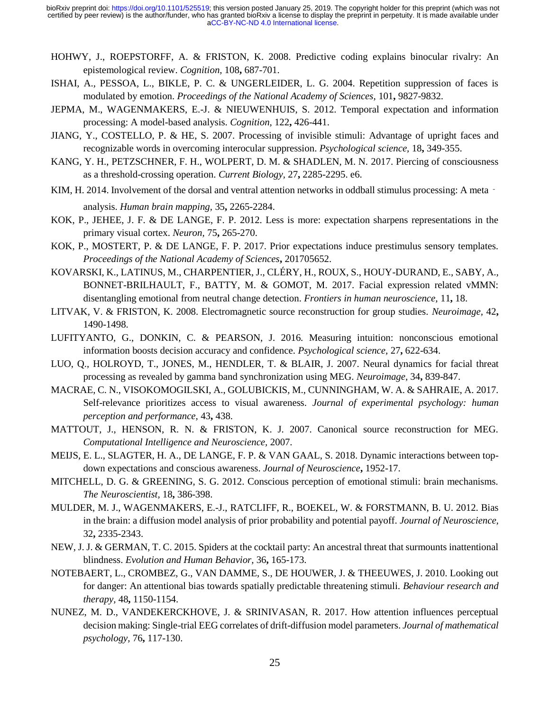- HOHWY, J., ROEPSTORFF, A. & FRISTON, K. 2008. Predictive coding explains binocular rivalry: An epistemological review. *Cognition,* 108**,** 687-701.
- ISHAI, A., PESSOA, L., BIKLE, P. C. & UNGERLEIDER, L. G. 2004. Repetition suppression of faces is modulated by emotion. *Proceedings of the National Academy of Sciences,* 101**,** 9827-9832.
- JEPMA, M., WAGENMAKERS, E.-J. & NIEUWENHUIS, S. 2012. Temporal expectation and information processing: A model-based analysis. *Cognition,* 122**,** 426-441.
- JIANG, Y., COSTELLO, P. & HE, S. 2007. Processing of invisible stimuli: Advantage of upright faces and recognizable words in overcoming interocular suppression. *Psychological science,* 18**,** 349-355.
- KANG, Y. H., PETZSCHNER, F. H., WOLPERT, D. M. & SHADLEN, M. N. 2017. Piercing of consciousness as a threshold-crossing operation. *Current Biology,* 27**,** 2285-2295. e6.
- KIM, H. 2014. Involvement of the dorsal and ventral attention networks in oddball stimulus processing: A meta analysis. *Human brain mapping,* 35**,** 2265-2284.
- KOK, P., JEHEE, J. F. & DE LANGE, F. P. 2012. Less is more: expectation sharpens representations in the primary visual cortex. *Neuron,* 75**,** 265-270.
- KOK, P., MOSTERT, P. & DE LANGE, F. P. 2017. Prior expectations induce prestimulus sensory templates. *Proceedings of the National Academy of Sciences***,** 201705652.
- KOVARSKI, K., LATINUS, M., CHARPENTIER, J., CLÉRY, H., ROUX, S., HOUY-DURAND, E., SABY, A., BONNET-BRILHAULT, F., BATTY, M. & GOMOT, M. 2017. Facial expression related vMMN: disentangling emotional from neutral change detection. *Frontiers in human neuroscience,* 11**,** 18.
- LITVAK, V. & FRISTON, K. 2008. Electromagnetic source reconstruction for group studies. *Neuroimage,* 42**,** 1490-1498.
- LUFITYANTO, G., DONKIN, C. & PEARSON, J. 2016. Measuring intuition: nonconscious emotional information boosts decision accuracy and confidence. *Psychological science,* 27**,** 622-634.
- LUO, Q., HOLROYD, T., JONES, M., HENDLER, T. & BLAIR, J. 2007. Neural dynamics for facial threat processing as revealed by gamma band synchronization using MEG. *Neuroimage,* 34**,** 839-847.
- MACRAE, C. N., VISOKOMOGILSKI, A., GOLUBICKIS, M., CUNNINGHAM, W. A. & SAHRAIE, A. 2017. Self-relevance prioritizes access to visual awareness. *Journal of experimental psychology: human perception and performance,* 43**,** 438.
- MATTOUT, J., HENSON, R. N. & FRISTON, K. J. 2007. Canonical source reconstruction for MEG. *Computational Intelligence and Neuroscience,* 2007.
- MEIJS, E. L., SLAGTER, H. A., DE LANGE, F. P. & VAN GAAL, S. 2018. Dynamic interactions between topdown expectations and conscious awareness. *Journal of Neuroscience***,** 1952-17.
- MITCHELL, D. G. & GREENING, S. G. 2012. Conscious perception of emotional stimuli: brain mechanisms. *The Neuroscientist,* 18**,** 386-398.
- MULDER, M. J., WAGENMAKERS, E.-J., RATCLIFF, R., BOEKEL, W. & FORSTMANN, B. U. 2012. Bias in the brain: a diffusion model analysis of prior probability and potential payoff. *Journal of Neuroscience,* 32**,** 2335-2343.
- NEW, J. J. & GERMAN, T. C. 2015. Spiders at the cocktail party: An ancestral threat that surmounts inattentional blindness. *Evolution and Human Behavior,* 36**,** 165-173.
- NOTEBAERT, L., CROMBEZ, G., VAN DAMME, S., DE HOUWER, J. & THEEUWES, J. 2010. Looking out for danger: An attentional bias towards spatially predictable threatening stimuli. *Behaviour research and therapy,* 48**,** 1150-1154.
- NUNEZ, M. D., VANDEKERCKHOVE, J. & SRINIVASAN, R. 2017. How attention influences perceptual decision making: Single-trial EEG correlates of drift-diffusion model parameters. *Journal of mathematical psychology,* 76**,** 117-130.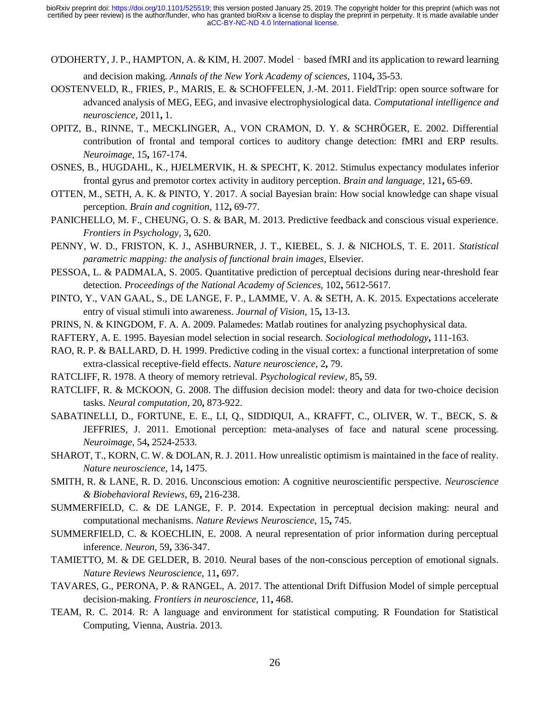- O'DOHERTY, J. P., HAMPTON, A. & KIM, H. 2007. Model‐based fMRI and its application to reward learning and decision making. *Annals of the New York Academy of sciences,* 1104**,** 35-53.
- OOSTENVELD, R., FRIES, P., MARIS, E. & SCHOFFELEN, J.-M. 2011. FieldTrip: open source software for advanced analysis of MEG, EEG, and invasive electrophysiological data. *Computational intelligence and neuroscience,* 2011**,** 1.
- OPITZ, B., RINNE, T., MECKLINGER, A., VON CRAMON, D. Y. & SCHRÖGER, E. 2002. Differential contribution of frontal and temporal cortices to auditory change detection: fMRI and ERP results. *Neuroimage,* 15**,** 167-174.
- OSNES, B., HUGDAHL, K., HJELMERVIK, H. & SPECHT, K. 2012. Stimulus expectancy modulates inferior frontal gyrus and premotor cortex activity in auditory perception. *Brain and language,* 121**,** 65-69.
- OTTEN, M., SETH, A. K. & PINTO, Y. 2017. A social Bayesian brain: How social knowledge can shape visual perception. *Brain and cognition,* 112**,** 69-77.
- PANICHELLO, M. F., CHEUNG, O. S. & BAR, M. 2013. Predictive feedback and conscious visual experience. *Frontiers in Psychology,* 3**,** 620.
- PENNY, W. D., FRISTON, K. J., ASHBURNER, J. T., KIEBEL, S. J. & NICHOLS, T. E. 2011. *Statistical parametric mapping: the analysis of functional brain images*, Elsevier.
- PESSOA, L. & PADMALA, S. 2005. Quantitative prediction of perceptual decisions during near-threshold fear detection. *Proceedings of the National Academy of Sciences,* 102**,** 5612-5617.
- PINTO, Y., VAN GAAL, S., DE LANGE, F. P., LAMME, V. A. & SETH, A. K. 2015. Expectations accelerate entry of visual stimuli into awareness. *Journal of Vision,* 15**,** 13-13.
- PRINS, N. & KINGDOM, F. A. A. 2009. Palamedes: Matlab routines for analyzing psychophysical data.
- RAFTERY, A. E. 1995. Bayesian model selection in social research. *Sociological methodology***,** 111-163.
- RAO, R. P. & BALLARD, D. H. 1999. Predictive coding in the visual cortex: a functional interpretation of some extra-classical receptive-field effects. *Nature neuroscience,* 2**,** 79.
- RATCLIFF, R. 1978. A theory of memory retrieval. *Psychological review,* 85**,** 59.
- RATCLIFF, R. & MCKOON, G. 2008. The diffusion decision model: theory and data for two-choice decision tasks. *Neural computation,* 20**,** 873-922.
- SABATINELLI, D., FORTUNE, E. E., LI, Q., SIDDIQUI, A., KRAFFT, C., OLIVER, W. T., BECK, S. & JEFFRIES, J. 2011. Emotional perception: meta-analyses of face and natural scene processing. *Neuroimage,* 54**,** 2524-2533.
- SHAROT, T., KORN, C. W. & DOLAN, R. J. 2011. How unrealistic optimism is maintained in the face of reality. *Nature neuroscience,* 14**,** 1475.
- SMITH, R. & LANE, R. D. 2016. Unconscious emotion: A cognitive neuroscientific perspective. *Neuroscience & Biobehavioral Reviews,* 69**,** 216-238.
- SUMMERFIELD, C. & DE LANGE, F. P. 2014. Expectation in perceptual decision making: neural and computational mechanisms. *Nature Reviews Neuroscience,* 15**,** 745.
- SUMMERFIELD, C. & KOECHLIN, E. 2008. A neural representation of prior information during perceptual inference. *Neuron,* 59**,** 336-347.
- TAMIETTO, M. & DE GELDER, B. 2010. Neural bases of the non-conscious perception of emotional signals. *Nature Reviews Neuroscience,* 11**,** 697.
- TAVARES, G., PERONA, P. & RANGEL, A. 2017. The attentional Drift Diffusion Model of simple perceptual decision-making. *Frontiers in neuroscience,* 11**,** 468.
- TEAM, R. C. 2014. R: A language and environment for statistical computing. R Foundation for Statistical Computing, Vienna, Austria. 2013.